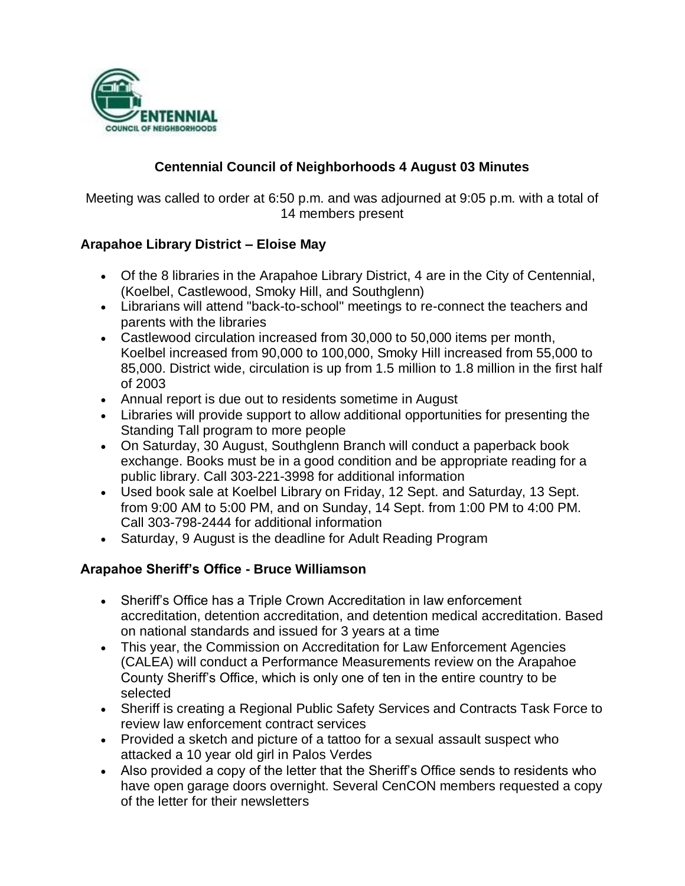

# **Centennial Council of Neighborhoods 4 August 03 Minutes**

Meeting was called to order at 6:50 p.m. and was adjourned at 9:05 p.m. with a total of 14 members present

#### **Arapahoe Library District – Eloise May**

- Of the 8 libraries in the Arapahoe Library District, 4 are in the City of Centennial, (Koelbel, Castlewood, Smoky Hill, and Southglenn)
- Librarians will attend "back-to-school" meetings to re-connect the teachers and parents with the libraries
- Castlewood circulation increased from 30,000 to 50,000 items per month, Koelbel increased from 90,000 to 100,000, Smoky Hill increased from 55,000 to 85,000. District wide, circulation is up from 1.5 million to 1.8 million in the first half of 2003
- Annual report is due out to residents sometime in August
- Libraries will provide support to allow additional opportunities for presenting the Standing Tall program to more people
- On Saturday, 30 August, Southglenn Branch will conduct a paperback book exchange. Books must be in a good condition and be appropriate reading for a public library. Call 303-221-3998 for additional information
- Used book sale at Koelbel Library on Friday, 12 Sept. and Saturday, 13 Sept. from 9:00 AM to 5:00 PM, and on Sunday, 14 Sept. from 1:00 PM to 4:00 PM. Call 303-798-2444 for additional information
- Saturday, 9 August is the deadline for Adult Reading Program

### **Arapahoe Sheriff's Office - Bruce Williamson**

- Sheriff's Office has a Triple Crown Accreditation in law enforcement accreditation, detention accreditation, and detention medical accreditation. Based on national standards and issued for 3 years at a time
- This year, the Commission on Accreditation for Law Enforcement Agencies (CALEA) will conduct a Performance Measurements review on the Arapahoe County Sheriff's Office, which is only one of ten in the entire country to be selected
- Sheriff is creating a Regional Public Safety Services and Contracts Task Force to review law enforcement contract services
- Provided a sketch and picture of a tattoo for a sexual assault suspect who attacked a 10 year old girl in Palos Verdes
- Also provided a copy of the letter that the Sheriff's Office sends to residents who have open garage doors overnight. Several CenCON members requested a copy of the letter for their newsletters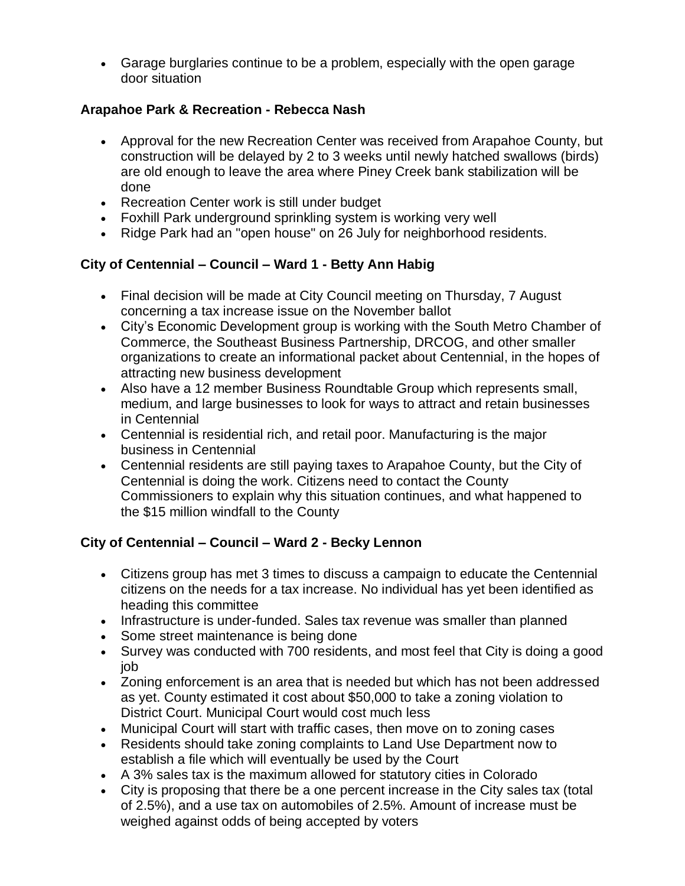Garage burglaries continue to be a problem, especially with the open garage door situation

## **Arapahoe Park & Recreation - Rebecca Nash**

- Approval for the new Recreation Center was received from Arapahoe County, but construction will be delayed by 2 to 3 weeks until newly hatched swallows (birds) are old enough to leave the area where Piney Creek bank stabilization will be done
- Recreation Center work is still under budget
- Foxhill Park underground sprinkling system is working very well
- Ridge Park had an "open house" on 26 July for neighborhood residents.

# **City of Centennial – Council – Ward 1 - Betty Ann Habig**

- Final decision will be made at City Council meeting on Thursday, 7 August concerning a tax increase issue on the November ballot
- City's Economic Development group is working with the South Metro Chamber of Commerce, the Southeast Business Partnership, DRCOG, and other smaller organizations to create an informational packet about Centennial, in the hopes of attracting new business development
- Also have a 12 member Business Roundtable Group which represents small, medium, and large businesses to look for ways to attract and retain businesses in Centennial
- Centennial is residential rich, and retail poor. Manufacturing is the major business in Centennial
- Centennial residents are still paying taxes to Arapahoe County, but the City of Centennial is doing the work. Citizens need to contact the County Commissioners to explain why this situation continues, and what happened to the \$15 million windfall to the County

# **City of Centennial – Council – Ward 2 - Becky Lennon**

- Citizens group has met 3 times to discuss a campaign to educate the Centennial citizens on the needs for a tax increase. No individual has yet been identified as heading this committee
- Infrastructure is under-funded. Sales tax revenue was smaller than planned
- Some street maintenance is being done
- Survey was conducted with 700 residents, and most feel that City is doing a good job
- Zoning enforcement is an area that is needed but which has not been addressed as yet. County estimated it cost about \$50,000 to take a zoning violation to District Court. Municipal Court would cost much less
- Municipal Court will start with traffic cases, then move on to zoning cases
- Residents should take zoning complaints to Land Use Department now to establish a file which will eventually be used by the Court
- A 3% sales tax is the maximum allowed for statutory cities in Colorado
- City is proposing that there be a one percent increase in the City sales tax (total of 2.5%), and a use tax on automobiles of 2.5%. Amount of increase must be weighed against odds of being accepted by voters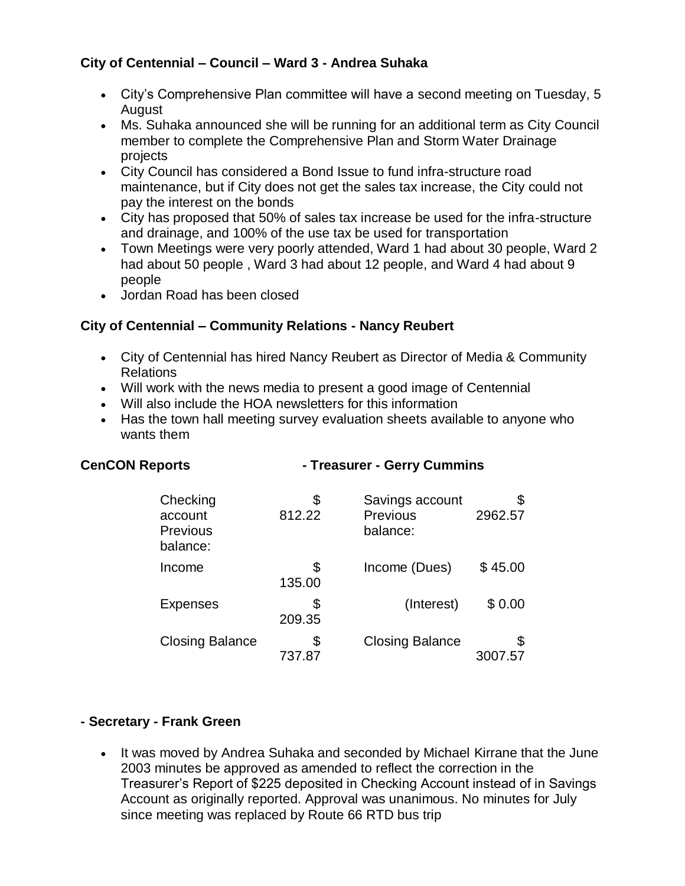### **City of Centennial – Council – Ward 3 - Andrea Suhaka**

- City's Comprehensive Plan committee will have a second meeting on Tuesday, 5 August
- Ms. Suhaka announced she will be running for an additional term as City Council member to complete the Comprehensive Plan and Storm Water Drainage projects
- City Council has considered a Bond Issue to fund infra-structure road maintenance, but if City does not get the sales tax increase, the City could not pay the interest on the bonds
- City has proposed that 50% of sales tax increase be used for the infra-structure and drainage, and 100% of the use tax be used for transportation
- Town Meetings were very poorly attended, Ward 1 had about 30 people, Ward 2 had about 50 people , Ward 3 had about 12 people, and Ward 4 had about 9 people
- Jordan Road has been closed

### **City of Centennial – Community Relations - Nancy Reubert**

- City of Centennial has hired Nancy Reubert as Director of Media & Community Relations
- Will work with the news media to present a good image of Centennial
- Will also include the HOA newsletters for this information

**CenCON Reports - Treasurer - Gerry Cummins**

 Has the town hall meeting survey evaluation sheets available to anyone who wants them

| Checking<br>account<br>Previous<br>balance: | \$<br>812.22 | Savings account<br>Previous<br>balance: | \$<br>2962.57 |
|---------------------------------------------|--------------|-----------------------------------------|---------------|
| Income                                      | \$<br>135.00 | Income (Dues)                           | \$45.00       |
| <b>Expenses</b>                             | S<br>209.35  | (Interest)                              | \$0.00        |
| <b>Closing Balance</b>                      | \$<br>737.87 | <b>Closing Balance</b>                  | \$            |

### **- Secretary - Frank Green**

• It was moved by Andrea Suhaka and seconded by Michael Kirrane that the June 2003 minutes be approved as amended to reflect the correction in the Treasurer's Report of \$225 deposited in Checking Account instead of in Savings Account as originally reported. Approval was unanimous. No minutes for July since meeting was replaced by Route 66 RTD bus trip